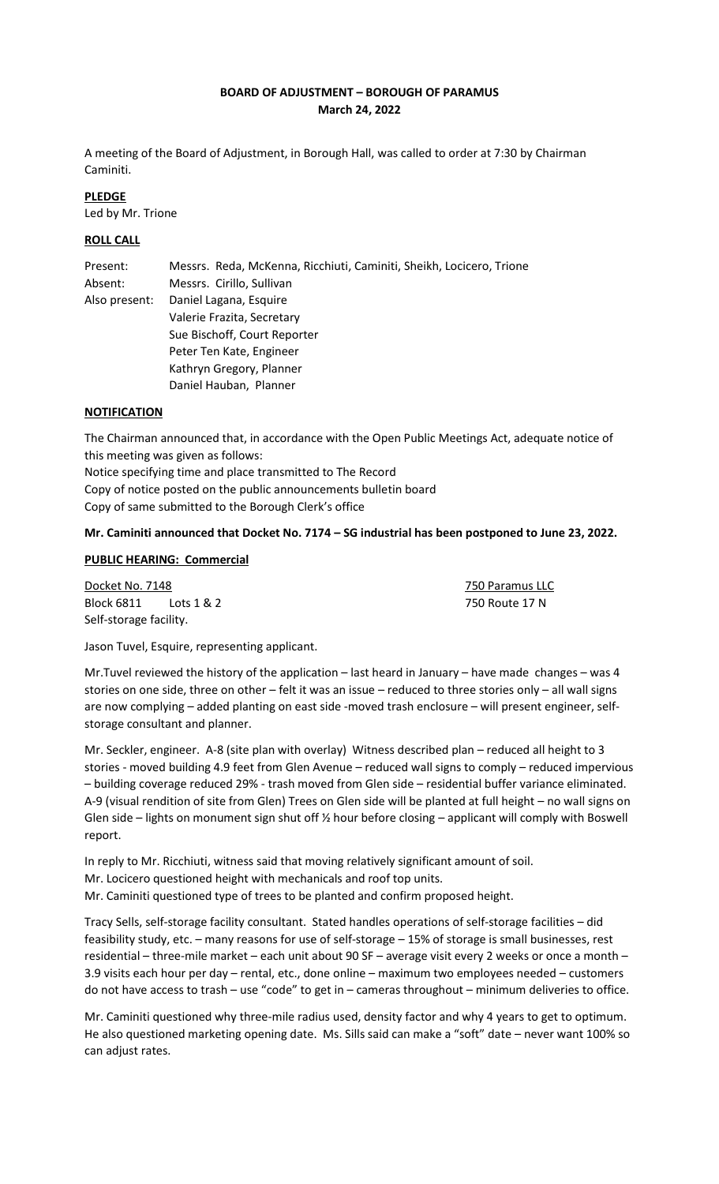## **BOARD OF ADJUSTMENT – BOROUGH OF PARAMUS March 24, 2022**

A meeting of the Board of Adjustment, in Borough Hall, was called to order at 7:30 by Chairman Caminiti.

# **PLEDGE**

Led by Mr. Trione

## **ROLL CALL**

| Present:      | Messrs. Reda, McKenna, Ricchiuti, Caminiti, Sheikh, Locicero, Trione |
|---------------|----------------------------------------------------------------------|
| Absent:       | Messrs. Cirillo, Sullivan                                            |
| Also present: | Daniel Lagana, Esquire                                               |
|               | Valerie Frazita, Secretary                                           |
|               | Sue Bischoff, Court Reporter                                         |
|               | Peter Ten Kate, Engineer                                             |
|               | Kathryn Gregory, Planner                                             |
|               | Daniel Hauban, Planner                                               |

#### **NOTIFICATION**

The Chairman announced that, in accordance with the Open Public Meetings Act, adequate notice of this meeting was given as follows: Notice specifying time and place transmitted to The Record Copy of notice posted on the public announcements bulletin board Copy of same submitted to the Borough Clerk's office

## **Mr. Caminiti announced that Docket No. 7174 – SG industrial has been postponed to June 23, 2022.**

## **PUBLIC HEARING: Commercial**

**Docket No. 7148 750 Paramus LLC** Block 6811 Lots 1 & 2 750 Route 17 N Self-storage facility.

Jason Tuvel, Esquire, representing applicant.

Mr.Tuvel reviewed the history of the application – last heard in January – have made changes – was 4 stories on one side, three on other – felt it was an issue – reduced to three stories only – all wall signs are now complying – added planting on east side -moved trash enclosure – will present engineer, selfstorage consultant and planner.

Mr. Seckler, engineer. A-8 (site plan with overlay) Witness described plan – reduced all height to 3 stories - moved building 4.9 feet from Glen Avenue – reduced wall signs to comply – reduced impervious – building coverage reduced 29% - trash moved from Glen side – residential buffer variance eliminated. A-9 (visual rendition of site from Glen) Trees on Glen side will be planted at full height – no wall signs on Glen side – lights on monument sign shut off  $\frac{1}{2}$  hour before closing – applicant will comply with Boswell report.

In reply to Mr. Ricchiuti, witness said that moving relatively significant amount of soil. Mr. Locicero questioned height with mechanicals and roof top units. Mr. Caminiti questioned type of trees to be planted and confirm proposed height.

Tracy Sells, self-storage facility consultant. Stated handles operations of self-storage facilities – did feasibility study, etc. – many reasons for use of self-storage – 15% of storage is small businesses, rest residential – three-mile market – each unit about 90 SF – average visit every 2 weeks or once a month – 3.9 visits each hour per day – rental, etc., done online – maximum two employees needed – customers do not have access to trash – use "code" to get in – cameras throughout – minimum deliveries to office.

Mr. Caminiti questioned why three-mile radius used, density factor and why 4 years to get to optimum. He also questioned marketing opening date. Ms. Sills said can make a "soft" date – never want 100% so can adjust rates.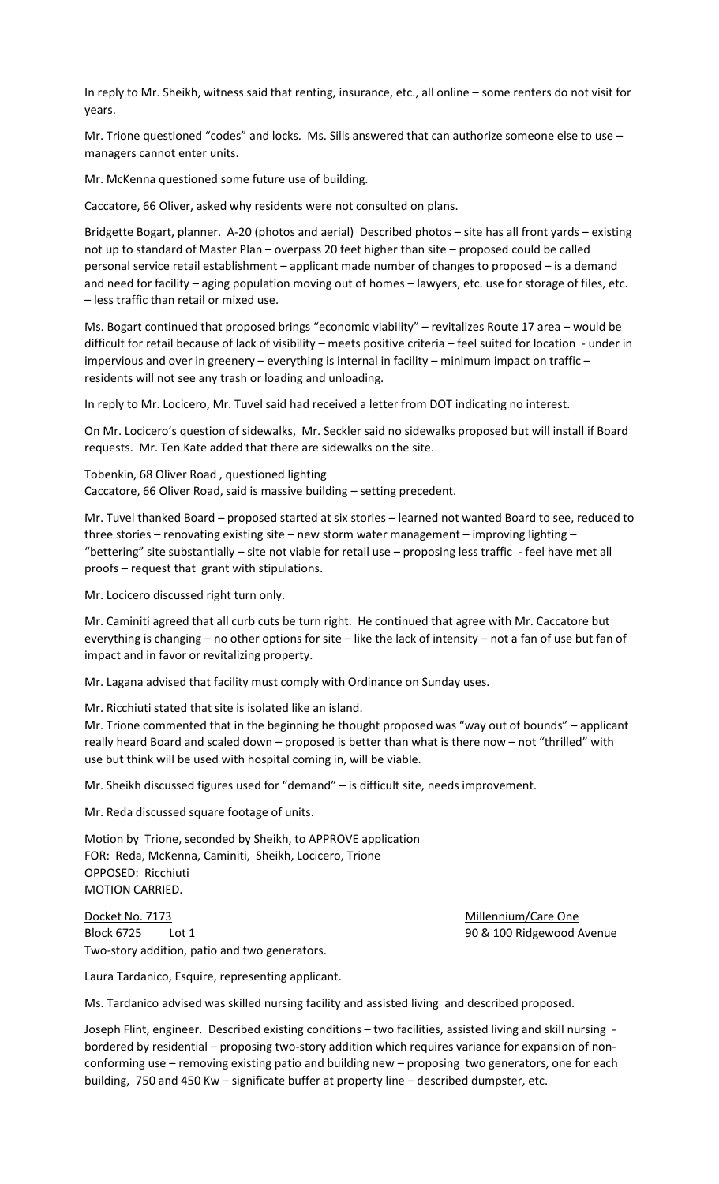In reply to Mr. Sheikh, witness said that renting, insurance, etc., all online – some renters do not visit for years.

Mr. Trione questioned "codes" and locks. Ms. Sills answered that can authorize someone else to use managers cannot enter units.

Mr. McKenna questioned some future use of building.

Caccatore, 66 Oliver, asked why residents were not consulted on plans.

Bridgette Bogart, planner. A-20 (photos and aerial) Described photos – site has all front yards – existing not up to standard of Master Plan – overpass 20 feet higher than site – proposed could be called personal service retail establishment – applicant made number of changes to proposed – is a demand and need for facility – aging population moving out of homes – lawyers, etc. use for storage of files, etc. – less traffic than retail or mixed use.

Ms. Bogart continued that proposed brings "economic viability" – revitalizes Route 17 area – would be difficult for retail because of lack of visibility – meets positive criteria – feel suited for location - under in impervious and over in greenery – everything is internal in facility – minimum impact on traffic – residents will not see any trash or loading and unloading.

In reply to Mr. Locicero, Mr. Tuvel said had received a letter from DOT indicating no interest.

On Mr. Locicero's question of sidewalks, Mr. Seckler said no sidewalks proposed but will install if Board requests. Mr. Ten Kate added that there are sidewalks on the site.

Tobenkin, 68 Oliver Road , questioned lighting Caccatore, 66 Oliver Road, said is massive building – setting precedent.

Mr. Tuvel thanked Board – proposed started at six stories – learned not wanted Board to see, reduced to three stories – renovating existing site – new storm water management – improving lighting – "bettering" site substantially – site not viable for retail use – proposing less traffic - feel have met all proofs – request that grant with stipulations.

Mr. Locicero discussed right turn only.

Mr. Caminiti agreed that all curb cuts be turn right. He continued that agree with Mr. Caccatore but everything is changing – no other options for site – like the lack of intensity – not a fan of use but fan of impact and in favor or revitalizing property.

Mr. Lagana advised that facility must comply with Ordinance on Sunday uses.

Mr. Ricchiuti stated that site is isolated like an island.

Mr. Trione commented that in the beginning he thought proposed was "way out of bounds" – applicant really heard Board and scaled down – proposed is better than what is there now – not "thrilled" with use but think will be used with hospital coming in, will be viable.

Mr. Sheikh discussed figures used for "demand" – is difficult site, needs improvement.

Mr. Reda discussed square footage of units.

Motion by Trione, seconded by Sheikh, to APPROVE application FOR: Reda, McKenna, Caminiti, Sheikh, Locicero, Trione OPPOSED: Ricchiuti MOTION CARRIED.

Docket No. 7173 Millennium/Care One Block 6725 Lot 1 200 and 200 and 200 and 200 and 30 and 30 & 100 Ridgewood Avenue Two-story addition, patio and two generators.

Laura Tardanico, Esquire, representing applicant.

Ms. Tardanico advised was skilled nursing facility and assisted living and described proposed.

Joseph Flint, engineer. Described existing conditions – two facilities, assisted living and skill nursing bordered by residential – proposing two-story addition which requires variance for expansion of nonconforming use – removing existing patio and building new – proposing two generators, one for each building, 750 and 450 Kw – significate buffer at property line – described dumpster, etc.